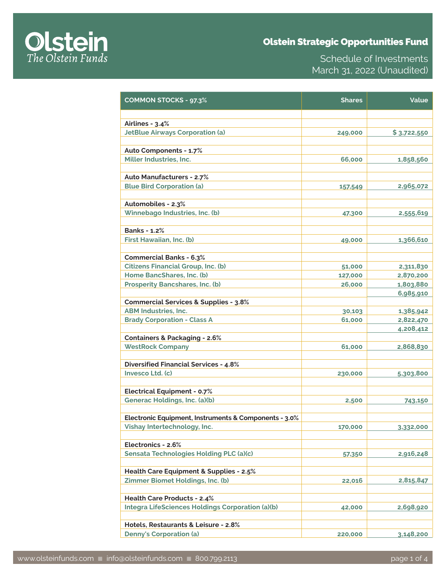# Olstein Strategic Opportunities Fund



Schedule of Investments March 31, 2022 (Unaudited)

| <b>COMMON STOCKS - 97.3%</b>                          | <b>Shares</b> | Value       |
|-------------------------------------------------------|---------------|-------------|
|                                                       |               |             |
| Airlines - 3.4%                                       |               |             |
| <b>JetBlue Airways Corporation (a)</b>                | 249,000       | \$3,722,550 |
| Auto Components - 1.7%                                |               |             |
| Miller Industries, Inc.                               | 66,000        | 1,858,560   |
|                                                       |               |             |
| <b>Auto Manufacturers - 2.7%</b>                      |               |             |
| <b>Blue Bird Corporation (a)</b>                      | 157,549       | 2,965,072   |
|                                                       |               |             |
| Automobiles - 2.3%                                    |               |             |
| Winnebago Industries, Inc. (b)                        | 47,300        | 2,555,619   |
|                                                       |               |             |
| <b>Banks - 1.2%</b>                                   |               |             |
| First Hawaiian, Inc. (b)                              | 49,000        | 1,366,610   |
| <b>Commercial Banks - 6.3%</b>                        |               |             |
| <b>Citizens Financial Group, Inc. (b)</b>             | 51,000        | 2,311,830   |
| Home BancShares, Inc. (b)                             | 127,000       | 2,870,200   |
| <b>Prosperity Bancshares, Inc. (b)</b>                | 26,000        | 1,803,880   |
|                                                       |               | 6,985,910   |
| <b>Commercial Services &amp; Supplies - 3.8%</b>      |               |             |
| <b>ABM Industries, Inc.</b>                           | 30,103        | 1,385,942   |
| <b>Brady Corporation - Class A</b>                    | 61,000        | 2,822,470   |
|                                                       |               | 4,208,412   |
| <b>Containers &amp; Packaging - 2.6%</b>              |               |             |
| <b>WestRock Company</b>                               | 61,000        | 2,868,830   |
|                                                       |               |             |
| <b>Diversified Financial Services - 4.8%</b>          |               |             |
| Invesco Ltd. (c)                                      | 230,000       | 5,303,800   |
|                                                       |               |             |
| <b>Electrical Equipment - 0.7%</b>                    |               |             |
| Generac Holdings, Inc. (a)(b)                         | 2,500         | 743,150     |
| Electronic Equipment, Instruments & Components - 3.0% |               |             |
| Vishay Intertechnology, Inc.                          | 170,000       | 3,332,000   |
|                                                       |               |             |
| Electronics - 2.6%                                    |               |             |
| Sensata Technologies Holding PLC (a)(c)               | 57,350        | 2,916,248   |
|                                                       |               |             |
| Health Care Equipment & Supplies - 2.5%               |               |             |
| Zimmer Biomet Holdings, Inc. (b)                      | 22,016        | 2,815,847   |
|                                                       |               |             |
| <b>Health Care Products - 2.4%</b>                    |               |             |
| Integra LifeSciences Holdings Corporation (a)(b)      | 42,000        | 2,698,920   |
|                                                       |               |             |
| Hotels, Restaurants & Leisure - 2.8%                  |               |             |
| <b>Denny's Corporation (a)</b>                        | 220,000       | 3,148,200   |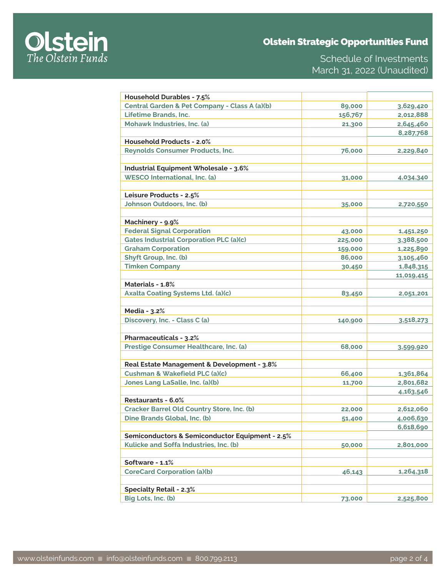# Olstein Strategic Opportunities Fund



Schedule of Investments March 31, 2022 (Unaudited)

| Household Durables - 7.5%                         |         |            |
|---------------------------------------------------|---------|------------|
| Central Garden & Pet Company - Class A (a)(b)     | 89,000  | 3,629,420  |
| Lifetime Brands, Inc.                             | 156,767 | 2,012,888  |
| Mohawk Industries, Inc. (a)                       | 21,300  | 2,645,460  |
|                                                   |         | 8,287,768  |
| <b>Household Products - 2.0%</b>                  |         |            |
| <b>Reynolds Consumer Products, Inc.</b>           | 76,000  | 2,229,840  |
|                                                   |         |            |
| Industrial Equipment Wholesale - 3.6%             |         |            |
| <b>WESCO International, Inc. (a)</b>              | 31,000  | 4,034,340  |
|                                                   |         |            |
| Leisure Products - 2.5%                           |         |            |
| Johnson Outdoors, Inc. (b)                        | 35,000  | 2,720,550  |
|                                                   |         |            |
| Machinery - 9.9%                                  |         |            |
| <b>Federal Signal Corporation</b>                 | 43,000  | 1,451,250  |
| <b>Gates Industrial Corporation PLC (a)(c)</b>    | 225,000 | 3,388,500  |
| <b>Graham Corporation</b>                         | 159,000 | 1,225,890  |
| Shyft Group, Inc. (b)                             | 86,000  | 3,105,460  |
| <b>Timken Company</b>                             | 30,450  | 1,848,315  |
|                                                   |         | 11,019,415 |
| Materials - 1.8%                                  |         |            |
| <b>Axalta Coating Systems Ltd. (a)(c)</b>         |         |            |
|                                                   | 83,450  | 2,051,201  |
| Media - 3.2%                                      |         |            |
| Discovery, Inc. - Class C (a)                     |         |            |
|                                                   | 140,900 | 3,518,273  |
| Pharmaceuticals - 3.2%                            |         |            |
|                                                   |         |            |
| Prestige Consumer Healthcare, Inc. (a)            | 68,000  | 3,599,920  |
|                                                   |         |            |
| Real Estate Management & Development - 3.8%       |         |            |
| Cushman & Wakefield PLC (a)(c)                    | 66,400  | 1,361,864  |
| Jones Lang LaSalle, Inc. (a)(b)                   | 11,700  | 2,801,682  |
|                                                   |         | 4,163,546  |
| Restaurants - 6.0%                                |         |            |
| <b>Cracker Barrel Old Country Store, Inc. (b)</b> | 22,000  | 2,612,060  |
| Dine Brands Global, Inc. (b)                      | 51,400  | 4,006,630  |
|                                                   |         | 6,618,690  |
| Semiconductors & Semiconductor Equipment - 2.5%   |         |            |
| Kulicke and Soffa Industries, Inc. (b)            | 50,000  | 2,801,000  |
|                                                   |         |            |
| Software - 1.1%                                   |         |            |
| <b>CoreCard Corporation (a)(b)</b>                | 46,143  | 1,264,318  |
|                                                   |         |            |
| <b>Specialty Retail - 2.3%</b>                    |         |            |
| Big Lots, Inc. (b)                                | 73,000  | 2,525,800  |
|                                                   |         |            |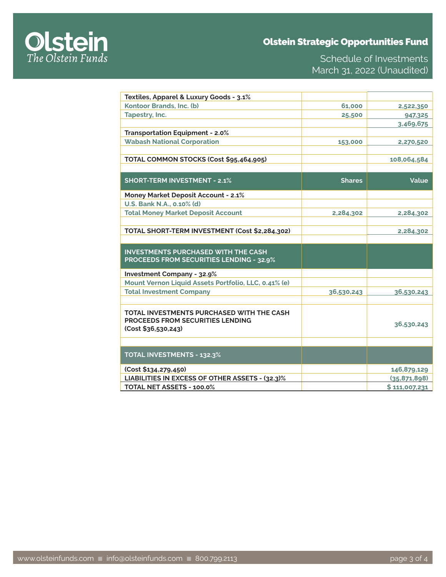# Olstein Strategic Opportunities Fund



Schedule of Investments March 31, 2022 (Unaudited)

| Textiles, Apparel & Luxury Goods - 3.1%                                      |               |                               |
|------------------------------------------------------------------------------|---------------|-------------------------------|
| Kontoor Brands, Inc. (b)                                                     | 61,000        | 2,522,350                     |
| Tapestry, Inc.                                                               | 25,500        | 947,325                       |
|                                                                              |               | 3,469,675                     |
| <b>Transportation Equipment - 2.0%</b>                                       |               |                               |
| <b>Wabash National Corporation</b>                                           | 153,000       | 2,270,520                     |
|                                                                              |               |                               |
| TOTAL COMMON STOCKS (Cost \$95,464,905)                                      |               | 108,064,584                   |
|                                                                              |               |                               |
| <b>SHORT-TERM INVESTMENT - 2.1%</b>                                          | <b>Shares</b> | Value                         |
|                                                                              |               |                               |
| <b>Money Market Deposit Account - 2.1%</b>                                   |               |                               |
| U.S. Bank N.A., 0.10% (d)                                                    |               |                               |
| <b>Total Money Market Deposit Account</b>                                    | 2,284,302     | 2,284,302                     |
|                                                                              |               |                               |
| TOTAL SHORT-TERM INVESTMENT (Cost \$2,284,302)                               |               | 2,284,302                     |
|                                                                              |               |                               |
| <b>INVESTMENTS PURCHASED WITH THE CASH</b>                                   |               |                               |
| <b>PROCEEDS FROM SECURITIES LENDING - 32.9%</b>                              |               |                               |
| <b>Investment Company - 32.9%</b>                                            |               |                               |
| Mount Vernon Liquid Assets Portfolio, LLC, 0.41% (e)                         |               |                               |
| <b>Total Investment Company</b>                                              | 36,530,243    | 36,530,243                    |
|                                                                              |               |                               |
| TOTAL INVESTMENTS PURCHASED WITH THE CASH                                    |               |                               |
| <b>PROCEEDS FROM SECURITIES LENDING</b>                                      |               |                               |
| (Cost \$36,530,243)                                                          |               | 36,530,243                    |
|                                                                              |               |                               |
|                                                                              |               |                               |
| <b>TOTAL INVESTMENTS - 132.3%</b>                                            |               |                               |
|                                                                              |               |                               |
|                                                                              |               |                               |
| (Cost \$134,279,450)                                                         |               | 146,879,129                   |
| LIABILITIES IN EXCESS OF OTHER ASSETS - (32.3)%<br>TOTAL NET ASSETS - 100.0% |               | (35,871,898)<br>\$111,007,231 |